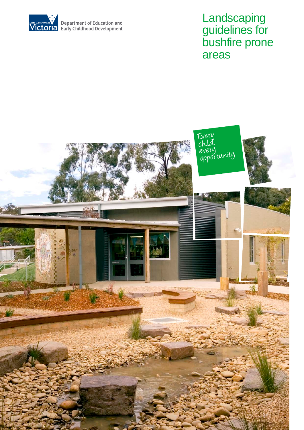

# **Landscaping** guidelines for bushfire prone areas

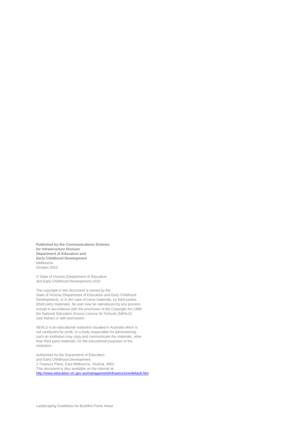**Published by the Communications Division for Infrastructure Division Department of Education and Early Childhood Development** Melbourne October 2010

© State of Victoria (Department of Education and Early Childhood Development) 2010

The copyright in this document is owned by the State of Victoria (Department of Education and Early Childhood Development), or in the case of some materials, by third parties (third party materials). No part may be reproduced by any process except in accordance with the provisions of the Copyright Act 1968 the National Education Access Licence for Schools (NEALS) (see below) or with permission.

NEALS is an educational institution situated in Australia which is not conducted for profit, or a body responsible for administering such an institution may copy and communicate the materials, other than third party materials, for the educational purposes of the institution.

Authorised by the Department of Education and Early Childhood Development, 2 Treasury Place, East Melbourne, Victoria, 3002. This document is also available on the internet at <http://www.education.vic.gov.au/management/infrastructure/default.htm>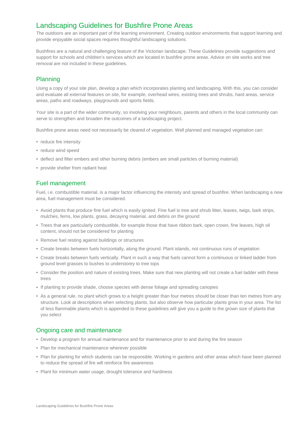# Landscaping Guidelines for Bushfire Prone Areas

The outdoors are an important part of the learning environment. Creating outdoor environments that support learning and provide enjoyable social spaces requires thoughtful landscaping solutions.

Bushfires are a natural and challenging feature of the Victorian landscape. These Guidelines provide suggestions and support for schools and children's services which are located in bushfire prone areas. Advice on site works and tree removal are not included in these guidelines.

## **Planning**

Using a copy of your site plan, develop a plan which incorporates planting and landscaping. With this, you can consider and evaluate all external features on site, for example, overhead wires, existing trees and shrubs, hard areas, service areas, paths and roadways, playgrounds and sports fields.

Your site is a part of the wider community, so involving your neighbours, parents and others in the local community can serve to strengthen and broaden the outcomes of a landscaping project.

Bushfire prone areas need not necessarily be cleared of vegetation. Well planned and managed vegetation can:

- reduce fire intensity
- reduce wind speed
- deflect and filter embers and other burning debris (embers are small particles of burning material)
- provide shelter from radiant heat

## Fuel management

Fuel, i.e. combustible material, is a major factor influencing the intensity and spread of bushfire. When landscaping a new area, fuel management must be considered.

- Avoid plants that produce fine fuel which is easily ignited. Fine fuel is tree and shrub litter, leaves, twigs, bark strips, mulches, ferns, low plants, grass, decaying material. and debris on the ground
- Trees that are particularly combustible, for example those that have ribbon bark, open crown, fine leaves, high oil content, should not be considered for planting
- Remove fuel resting against buildings or structures
- Create breaks between fuels horizontally, along the ground. Plant islands, not continuous runs of vegetation
- Create breaks between fuels vertically. Plant in such a way that fuels cannot form a continuous or linked ladder from ground level grasses to bushes to understorey to tree tops
- Consider the position and nature of existing trees. Make sure that new planting will not create a fuel ladder with these trees
- If planting to provide shade, choose species with dense foliage and spreading canopies
- As a general rule, no plant which grows to a height greater than four metres should be closer than ten metres from any structure. Look at descriptions when selecting plants, but also observe how particular plants grow in your area. The list of less flammable plants which is appended to these guidelines will give you a guide to the grown size of plants that you select

### Ongoing care and maintenance

- Develop a program for annual maintenance and for maintenance prior to and during the fire season
- Plan for mechanical maintenance wherever possible
- Plan for planting for which students can be responsible. Working in gardens and other areas which have been planned to reduce the spread of fire will reinforce fire awareness
- Plant for minimum water usage, drought tolerance and hardiness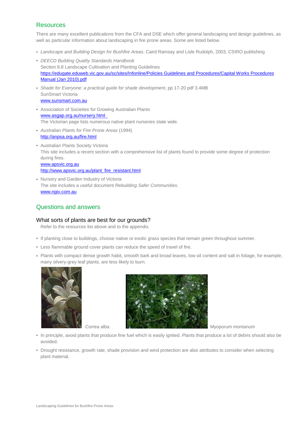## **Resources**

There are many excellent publications from the CFA and DSE which offer general landscaping and design guidelines, as well as particular information about landscaping in fire prone areas. Some are listed below.

- *Landscape and Building Design for Bushfire Areas*, Caird Ramsay and Lisle Rudolph, 2003, CSIRO publishing
- *DEECD Building Quality Standards Handbook*  Section 8.8 Landscape Cultivation and Planting Guidelines [https://edugate.eduweb.vic.gov.au/sc/sites/Infonline/Policies Guidelines and Procedures/Capital Works Procedures](https://edugate.eduweb.vic.gov.au/sc/sites/Infonline/Policies%20Guidelines%20and%20Procedures/Capital%20Works%20Procedures%20Manual%20(Jan%202010).pdf)  [Manual \(Jan 2010\).pdf](https://edugate.eduweb.vic.gov.au/sc/sites/Infonline/Policies%20Guidelines%20and%20Procedures/Capital%20Works%20Procedures%20Manual%20(Jan%202010).pdf)
- *Shade for Everyone: a practical guide for shade development*, pp 17-20 pdf 3.4MB SunSmart Victoria [www.sunsmart.com.au](http://www.sunsmart.com.au/)
- Association of Societies for Growing Australian Plants [www.asgap.org.au/nursery.html](http://www.asgap.org.au/nursery.html)  The Victorian page lists numerous native plant nurseries state wide.
- *Australian Plants for Fire Prone Areas* (1994) <http://anpsa.org.au/fire.html>
- Australian Plants Society Victoria This site includes a recent section with a comprehensive list of plants found to provide some degree of protection during fires. [www.apsvic.org.au](http://www.apsvic.org.au/) [http://www.apsvic.org.au/plant\\_fire\\_resistant.html](http://www.apsvic.org.au/plant_fire_resistant.html)
- Nursery and Garden Industry of Victoria The site includes a useful document *Rebuilding Safer Communities.* [www.ngiv.com.au](http://www.ngiv.com.au/)

## Questions and answers

#### What sorts of plants are best for our grounds?

Refer to the resources list above and to the appendix.

- If planting close to buildings, choose native or exotic grass species that remain green throughout summer.
- Less flammable ground cover plants can reduce the speed of travel of fire.
- Plants with compact dense growth habit, smooth bark and broad leaves, low oil content and salt in foliage, for example, many silvery-grey leaf plants, are less likely to burn.





- In principle, avoid plants that produce fine fuel which is easily ignited. Plants that produce a lot of debris should also be avoided.
- Drought resistance, growth rate, shade provision and wind protection are also attributes to consider when selecting plant material.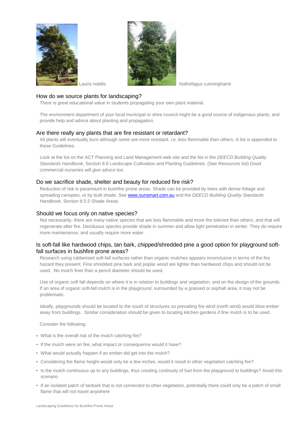



Lauris nobilis **Notifiate and American Contract Contract Contract Contract Contract Contract Contract Contract Contract Contract Contract Contract Contract Contract Contract Contract Contract Contract Contract Contract Con** 

#### How do we source plants for landscaping?

There is great educational value in students propagating your own plant material.

The environment department of your local municipal or shire council might be a good source of indigenous plants, and provide help and advice about planting and propagation.

#### Are there really any plants that are fire resistant or retardant?

All plants will eventually burn although some are more resistant, i.e. less flammable than others. A list is appended to these Guidelines.

Look at the list on the ACT Planning and Land Management web site and the list in the *DEECD Building Quality Standards Handbook,* Section 8.8 Landscape Cultivation and Planting Guidelines. (See Resources list) Good commercial nurseries will give advice too.

#### Do we sacrifice shade, shelter and beauty for reduced fire risk?

Reduction of risk is paramount in bushfire prone areas. Shade can be provided by trees with dense foliage and spreading canopies, or by built shade. Se[e www.sunsmart.com.au](http://www.sunsmart.com.au/) and the *DEECD Building Quality Standards Handbook,* Section 8.5.5 Shade Areas.

#### Should we focus only on native species?

Not necessarily, there are many native species that are less flammable and more fire tolerant than others, and that will regenerate after fire. Deciduous species provide shade in summer and allow light penetration in winter. They do require more maintenance, and usually require more water.

#### Is soft-fall like hardwood chips, tan bark, chipped/shredded pine a good option for playground softfall surfaces in bushfire prone areas?

Research using rubberised soft-fall surfaces rather than organic mulches appears inconclusive in terms of the fire hazard they present. Fine shredded pine bark and poplar wood are lighter than hardwood chips and should not be used. No mulch finer than a pencil diameter should be used.

Use of organic soft fall depends on where it is in relation to buildings and vegetation, and on the design of the grounds. If an area of organic soft-fall mulch is in the playground, surrounded by a grassed or asphalt area, it may not be problematic.

Ideally, playgrounds should be located to the south of structures so prevailing fire wind (north wind) would blow ember away from buildings. Similar consideration should be given to locating kitchen gardens if fine mulch is to be used.

Consider the following:

- What is the overall risk of the mulch catching fire?
- If the mulch were on fire, what impact or consequence would it have?
- What would actually happen if an ember did get into the mulch?
- Considering the flame height would only be a few inches, would it result in other vegetation catching fire?
- Is the mulch continuous up to any buildings, thus creating continuity of fuel from the playground to buildings? Avoid this scenario
- If an isolated patch of tanbark that is not connected to other vegetation, potentially there could only be a patch of small flame that will not travel anywhere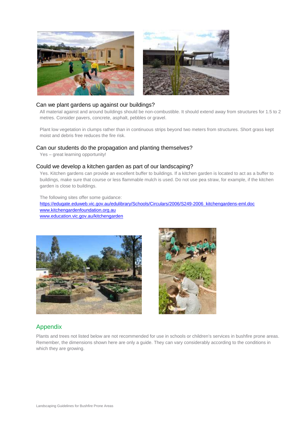



#### Can we plant gardens up against our buildings?

All material against and around buildings should be non-combustible. It should extend away from structures for 1.5 to 2 metres. Consider pavers, concrete, asphalt, pebbles or gravel.

Plant low vegetation in clumps rather than in continuous strips beyond two meters from structures. Short grass kept moist and debris free reduces the fire risk.

#### Can our students do the propagation and planting themselves?

Yes – great learning opportunity!

#### Could we develop a kitchen garden as part of our landscaping?

Yes. Kitchen gardens can provide an excellent buffer to buildings. If a kitchen garden is located to act as a buffer to buildings, make sure that course or less flammable mulch is used. Do not use pea straw, for example, if the kitchen garden is close to buildings.

The following sites offer some guidance: [https://edugate.eduweb.vic.gov.au/edulibrary/Schools/Circulars/2006/S249-2006\\_kitchengardens-eml.doc](https://edugate.eduweb.vic.gov.au/edulibrary/Schools/Circulars/2006/S249-2006_kitchengardens-eml.doc) [www.kitchengardenfoundation.org.au](http://www.kitchengardenfoundation.org.au/) [www.education.vic.gov.au/kitchengarden](http://www.education.vic.gov.au/kitchengarden)





## Appendix

Plants and trees not listed below are not recommended for use in schools or children's services in bushfire prone areas. Remember, the dimensions shown here are only a guide. They can vary considerably according to the conditions in which they are growing.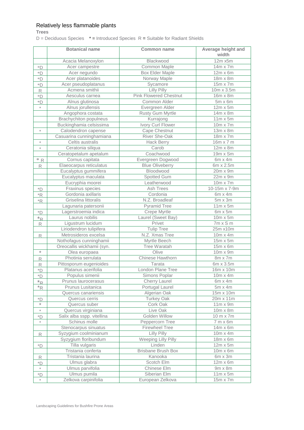## Relatively less flammable plants

**Trees**

 $D =$  Deciduous Species  $* =$  Introduced Species  $R =$  Suitable for Radiant Shields

|                         | <b>Botanical name</b>         | <b>Common name</b>            | Average height and<br>width |
|-------------------------|-------------------------------|-------------------------------|-----------------------------|
|                         | Acacia Melanoxylon            | Blackwood                     | 12m x5m                     |
| $*D$                    | Acer campestre                | Common Maple                  | 14m x 7m                    |
| $*D$                    | Acer negundo                  | <b>Box Elder Maple</b>        | $12m \times 6m$             |
| $*D$                    | Acer platanoides              | Norway Maple                  | 18m x 8m                    |
| ${}^*\mathsf{D}$        | Acer pseudoplatanus           | Sycamore                      | 15m x 7m                    |
| $\mathsf R$             | Acmena smithii                | Lilly Pilly                   | 10m x 3.5m                  |
| ${}^{\ast} \mathsf{D}$  | Aesculus carnea               | <b>Pink Flowered Chestnut</b> | 16m x 8m                    |
| *D                      | Alnus glutinosa               | Common Alder                  | $\overline{5m}$ x $6m$      |
| $\star$                 | Alnus jorullensis             | Evergreen Alder               | $12m \times 5m$             |
|                         | Angophora costata             | <b>Rusty Gum Myrtle</b>       | 14m x 8m                    |
|                         | <b>Brachychiton populneus</b> | Kurrajong                     | $11m \times 5m$             |
|                         | Buckinghamia celsissima       | Ivory Curl Flower             | 10m x 7m                    |
| $\star$                 | Calodendron capense           | Cape Chestnut                 | 13m x 8m                    |
|                         | Casuarina cunninghamiana      | River She-Oak                 | 18m x 7m                    |
| $\star$                 | Celtis australis              | Hack Berry                    | 16m x 7 m                   |
| $^{\star}$              | Ceratonia siliqua             | Carob                         | 12m x 8m                    |
|                         | Ceratopetalum apetalum        | Coachwood                     | 19m x Sm                    |
| $*R$                    | Cornus capitata               | Evergreen Dogwood             | $6m \times 4m$              |
| R                       | Elaeocarpus reticulatus       | <b>Blue Oliveberry</b>        | 6m x 2.5m                   |
|                         | Eucalyptus gummifera          | Bloodwood                     | 20m x 9m                    |
|                         | Eucalyptus maculata           | Spotted Gum                   | 22m x 9m                    |
|                         | Eucryphia moorei              | Leatherwood                   | 10m x 7m                    |
| $^\ast \mathsf{D}$      | Fraxinus species              | <b>Ash Trees</b>              | 10-15m x 7-9m               |
| $^\ast \mathsf{R}$      | Gordonia axillaris            | Cordonia                      | $6m \times 4m$              |
| $\,{}^{\ast}\mathsf{R}$ | Griselina littoralis          | N.Z. Broadleaf                | $5m \times 3m$              |
|                         | Lagunaria patersonii          | <b>Pyramid Tree</b>           | $11m \times 5m$             |
| $^\star\mathsf{D}$      | Lagerstroemia indica          | Crepe Myrtle                  | $6m \times 5m$              |
| $*_{R}$                 | Laurus nobilis                | Laurel (Sweet Bay)            | $10m \times 5m$             |
| R                       | Ligustrum lucidum             | Privet                        | $7m \times S$ m             |
|                         | Liriodendron tulipifera       | <b>Tulip Tree</b>             | 25m x10m                    |
| R                       | Metrosideros excelsa          | N.Z. Xmas Tree                | 10m x 4m                    |
|                         | Nothofagus cunninghamii       | Myrtle Beech                  | 15m x 5m                    |
|                         | Oreocallis wickhamii (syn.    | <b>Tree Waratah</b>           | 15m x 6m                    |
| $\star$                 | Olea europaea                 | Olive                         | 10m x 9m                    |
| $\mathsf{R}$            | Photinia serrulata            | Chinese Hawthorn              | $8m \times 7m$              |
| R                       | Pittosporum eugenioides       | Tarata                        | 6m x 3.5m                   |
| $\overline{D}$          | Platanus acerifolia           | London Plane Tree             | 16m x 10m                   |
| *D                      | Populus simenii               | Simons Poplar                 | $10m \times 4m$             |
| $\star_{\mathsf{R}}$    | Prunus laurocerasus           | Cherry Laurel                 | $6m \times 4m$              |
| $*_{R}$                 | Prunus Lusitanica             | Portugal Laurel               | $5m \times 4m$              |
|                         | Quercus canariensis           | Algerian Oak                  | $15m \times 10m$            |
| $\overline{D}$          | Quercus cerris                | Turkey Oak                    | 20m x 11m                   |
| $^{\star}$              | Quercus suber                 | Cork Oak                      | $11m \times 9m$             |
| $\ast$                  | Quercus virginiana            | Live Oak                      | 10m x 8m                    |
| $\overline{D}$          | Salix alba sspp. vitellina    | Golden Willow                 | 10 m x 7m                   |
|                         | Schinus molle                 | Peppercorn Tree               | $7 m \times 6 m$            |
|                         | Stenocarpus sinuatus          | <b>Firewheel Tree</b>         | $14m \times 6m$             |
| $\mathbb R$             | Syzygium coolminianum         | Lilly Pilly                   | 10m x 4m                    |
|                         | Syzygium floribundum          | Weeping Lilly Pilly           | 18m x 6m                    |
| $\overline{D}$          | Tilla vulgaris                | Linden                        | $12m \times 5m$             |
|                         | Tristania conferta            | <b>Brisbane Brush Box</b>     | $10m \times 6m$             |
| $\mathsf{R}% _{T}$      | Tristania laurina             | Kanooka                       | $6m \times 3m$              |
| $^\ast \mathsf{D}$      | Ulmus glabra                  | Scotch Elm                    | $12m \times 6m$             |
| $\star$                 | Ulmus parvifolia              | Chinese Elm                   | $9m \times 8m$              |
| $\overline{D}$          | Ulmus pumila                  | Siberian Elm                  | $11m \times 5m$             |
| $\star$                 | Zelkova carpinifolia          | European Zelkova              | 15m x 7m                    |